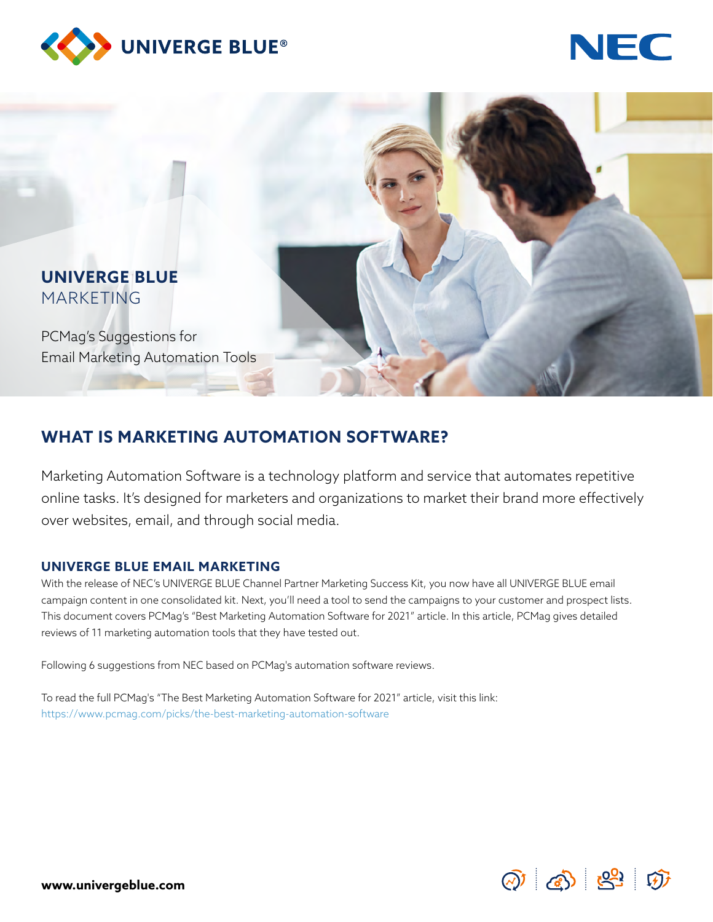





### **WHAT IS MARKETING AUTOMATION SOFTWARE?**

Marketing Automation Software is a technology platform and service that automates repetitive online tasks. It's designed for marketers and organizations to market their brand more effectively over websites, email, and through social media.

#### **UNIVERGE BLUE EMAIL MARKETING**

With the release of NEC's UNIVERGE BLUE Channel Partner Marketing Success Kit, you now have all UNIVERGE BLUE email campaign content in one consolidated kit. Next, you'll need a tool to send the campaigns to your customer and prospect lists. This document covers PCMag's "Best Marketing Automation Software for 2021" article. In this article, PCMag gives detailed reviews of 11 marketing automation tools that they have tested out.

Following 6 suggestions from NEC based on PCMag's automation software reviews.

To read the full PCMag's "The Best Marketing Automation Software for 2021" article, visit this link: https://www.pcmag.com/picks/the-best-marketing-automation-software

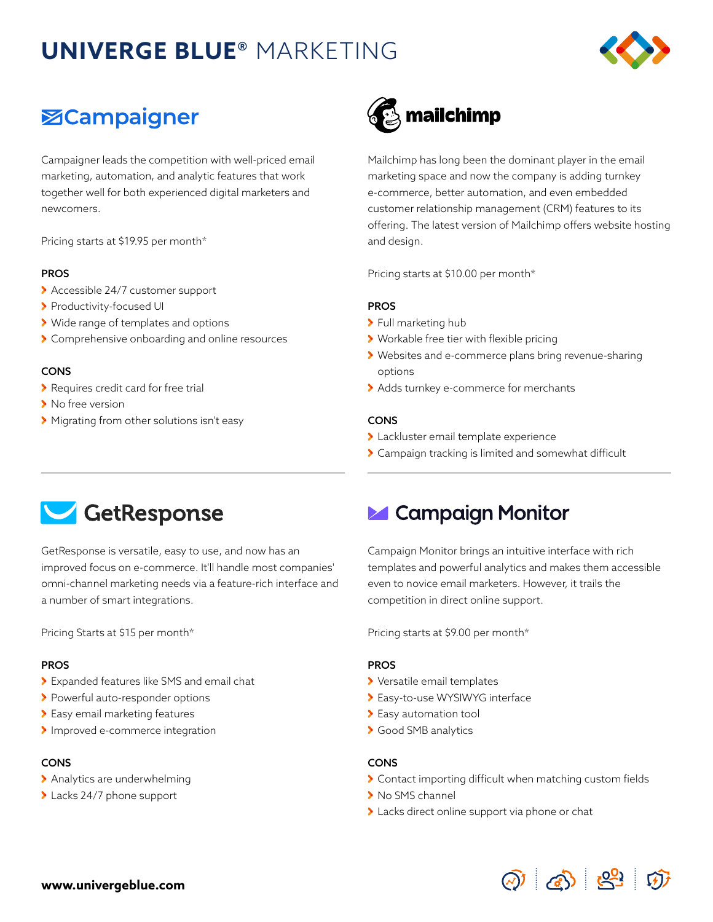## **UNIVERGE BLUE®** MARKETING



### **ZCampaigner**

Campaigner leads the competition with well-priced email marketing, automation, and analytic features that work together well for both experienced digital marketers and newcomers.

Pricing starts at \$19.95 per month\*

#### PROS

- Accessible 24/7 customer support
- > Productivity-focused UI
- Wide range of templates and options
- > Comprehensive onboarding and online resources

#### CONS

- **>** Requires credit card for free trial
- > No free version
- Migrating from other solutions isn't easy

# mailchimp

Mailchimp has long been the dominant player in the email marketing space and now the company is adding turnkey e-commerce, better automation, and even embedded customer relationship management (CRM) features to its offering. The latest version of Mailchimp offers website hosting and design.

Pricing starts at \$10.00 per month\*

#### PROS

- > Full marketing hub
- Workable free tier with flexible pricing
- Websites and e-commerce plans bring revenue-sharing options
- > Adds turnkey e-commerce for merchants

#### CONS

- Lackluster email template experience
- Campaign tracking is limited and somewhat difficult



GetResponse is versatile, easy to use, and now has an improved focus on e-commerce. It'll handle most companies' omni-channel marketing needs via a feature-rich interface and a number of smart integrations.

Pricing Starts at \$15 per month\*

#### PROS

- Expanded features like SMS and email chat
- > Powerful auto-responder options
- Easy email marketing features
- > Improved e-commerce integration

#### CONS

- > Analytics are underwhelming
- > Lacks 24/7 phone support

### **Z** Campaign Monitor

Campaign Monitor brings an intuitive interface with rich templates and powerful analytics and makes them accessible even to novice email marketers. However, it trails the competition in direct online support.

Pricing starts at \$9.00 per month\*

#### PROS

- Versatile email templates
- Easy-to-use WYSIWYG interface
- > Easy automation tool
- Good SMB analytics

#### CONS

- Contact importing difficult when matching custom fields
- > No SMS channel
- > Lacks direct online support via phone or chat